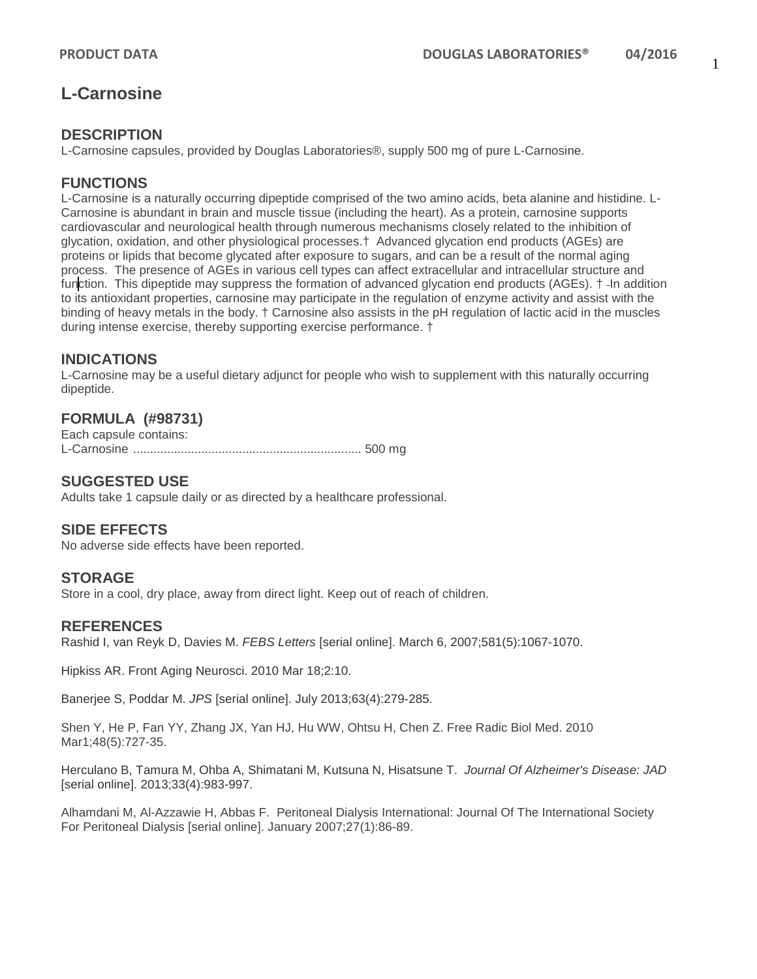# **L-Carnosine**

### **DESCRIPTION**

L-Carnosine capsules, provided by Douglas Laboratories®, supply 500 mg of pure L-Carnosine.

### **FUNCTIONS**

L-Carnosine is a naturally occurring dipeptide comprised of the two amino acids, beta alanine and histidine. L-Carnosine is abundant in brain and muscle tissue (including the heart). As a protein, carnosine supports cardiovascular and neurological health through numerous mechanisms closely related to the inhibition of glycation, oxidation, and other physiological processes.† Advanced glycation end products (AGEs) are proteins or lipids that become glycated after exposure to sugars, and can be a result of the normal aging process. The presence of AGEs in various cell types can affect extracellular and intracellular structure and function. This dipeptide may suppress the formation of advanced glycation end products (AGEs). † -In addition to its antioxidant properties, carnosine may participate in the regulation of enzyme activity and assist with the binding of heavy metals in the body. † Carnosine also assists in the pH regulation of lactic acid in the muscles during intense exercise, thereby supporting exercise performance. †

### **INDICATIONS**

L-Carnosine may be a useful dietary adjunct for people who wish to supplement with this naturally occurring dipeptide.

### **FORMULA (#98731)**

Each capsule contains: L-Carnosine ................................................................... 500 mg

### **SUGGESTED USE**

Adults take 1 capsule daily or as directed by a healthcare professional.

#### **SIDE EFFECTS**

No adverse side effects have been reported.

### **STORAGE**

Store in a cool, dry place, away from direct light. Keep out of reach of children.

### **REFERENCES**

Rashid I, van Reyk D, Davies M. *FEBS Letters* [serial online]. March 6, 2007;581(5):1067-1070.

Hipkiss AR. Front Aging Neurosci. 2010 Mar 18;2:10.

Banerjee S, Poddar M. *JPS* [serial online]. July 2013;63(4):279-285.

Shen Y, He P, Fan YY, Zhang JX, Yan HJ, Hu WW, Ohtsu H, Chen Z. Free Radic Biol Med. 2010 Mar1;48(5):727-35.

Herculano B, Tamura M, Ohba A, Shimatani M, Kutsuna N, Hisatsune T. *Journal Of Alzheimer's Disease: JAD* [serial online]. 2013;33(4):983-997.

Alhamdani M, Al-Azzawie H, Abbas F. Peritoneal Dialysis International: Journal Of The International Society For Peritoneal Dialysis [serial online]. January 2007;27(1):86-89.